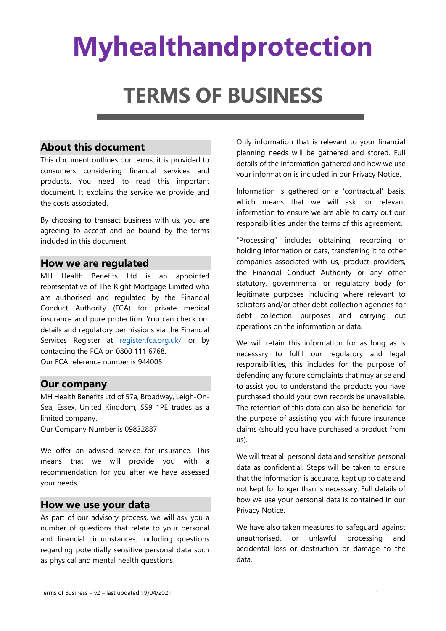# **Myhealthandprotection**

# **TERMS OF BUSINESS**

#### **About this document**

This document outlines our terms; it is provided to consumers considering financial services and products. You need to read this important document. It explains the service we provide and the costs associated.

By choosing to transact business with us, you are agreeing to accept and be bound by the terms included in this document.

#### **How we are regulated**

MH Health Benefits Ltd is an appointed representative of The Right Mortgage Limited who are authorised and regulated by the Financial Conduct Authority (FCA) for private medical insurance and pure protection. You can check our details and regulatory permissions via the Financial Services Register at [register.fca.org.uk/](https://register.fca.org.uk/) or by contacting the FCA on 0800 111 6768. Our FCA reference number is 944005

#### **Our company**

MH Health Benefits Ltd of 57a, Broadway, Leigh-On-Sea, Essex, United Kingdom, SS9 1PE trades as a limited company.

Our Company Number is 09832887

We offer an advised service for insurance. This means that we will provide you with a recommendation for you after we have assessed your needs.

#### **How we use your data**

As part of our advisory process, we will ask you a number of questions that relate to your personal and financial circumstances, including questions regarding potentially sensitive personal data such as physical and mental health questions.

Only information that is relevant to your financial planning needs will be gathered and stored. Full details of the information gathered and how we use your information is included in our Privacy Notice.

Information is gathered on a 'contractual' basis, which means that we will ask for relevant information to ensure we are able to carry out our responsibilities under the terms of this agreement.

"Processing" includes obtaining, recording or holding information or data, transferring it to other companies associated with us, product providers, the Financial Conduct Authority or any other statutory, governmental or regulatory body for legitimate purposes including where relevant to solicitors and/or other debt collection agencies for debt collection purposes and carrying out operations on the information or data.

We will retain this information for as long as is necessary to fulfil our regulatory and legal responsibilities, this includes for the purpose of defending any future complaints that may arise and to assist you to understand the products you have purchased should your own records be unavailable. The retention of this data can also be beneficial for the purpose of assisting you with future insurance claims (should you have purchased a product from us).

We will treat all personal data and sensitive personal data as confidential. Steps will be taken to ensure that the information is accurate, kept up to date and not kept for longer than is necessary. Full details of how we use your personal data is contained in our Privacy Notice.

We have also taken measures to safeguard against unauthorised, or unlawful processing and accidental loss or destruction or damage to the data.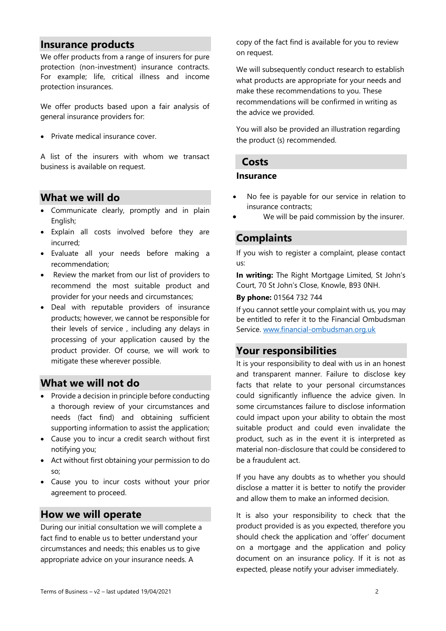#### **Insurance products**

We offer products from a range of insurers for pure protection (non-investment) insurance contracts. For example; life, critical illness and income protection insurances.

We offer products based upon a fair analysis of general insurance providers for:

• Private medical insurance cover.

A list of the insurers with whom we transact business is available on request.

#### **What we will do**

- Communicate clearly, promptly and in plain English;
- Explain all costs involved before they are incurred;
- Evaluate all your needs before making a recommendation;
- Review the market from our list of providers to recommend the most suitable product and provider for your needs and circumstances;
- Deal with reputable providers of insurance products; however, we cannot be responsible for their levels of service , including any delays in processing of your application caused by the product provider. Of course, we will work to mitigate these wherever possible.

#### **What we will not do**

- Provide a decision in principle before conducting a thorough review of your circumstances and needs (fact find) and obtaining sufficient supporting information to assist the application;
- Cause you to incur a credit search without first notifying you;
- Act without first obtaining your permission to do so;
- Cause you to incur costs without your prior agreement to proceed.

#### **How we will operate**

During our initial consultation we will complete a fact find to enable us to better understand your circumstances and needs; this enables us to give appropriate advice on your insurance needs. A

copy of the fact find is available for you to review on request.

We will subsequently conduct research to establish what products are appropriate for your needs and make these recommendations to you. These recommendations will be confirmed in writing as the advice we provided.

You will also be provided an illustration regarding the product (s) recommended.

#### **Costs**

#### **Insurance**

- No fee is payable for our service in relation to insurance contracts;
- We will be paid commission by the insurer.

#### **Complaints**

If you wish to register a complaint, please contact us:

**In writing:** The Right Mortgage Limited, St John's Court, 70 St John's Close, Knowle, B93 0NH.

#### **By phone:** 01564 732 744

If you cannot settle your complaint with us, you may be entitled to refer it to the Financial Ombudsman Service. [www.financial-ombudsman.org.uk](http://www.financial-ombudsman.org.uk/)

#### **Your responsibilities**

It is your responsibility to deal with us in an honest and transparent manner. Failure to disclose key facts that relate to your personal circumstances could significantly influence the advice given. In some circumstances failure to disclose information could impact upon your ability to obtain the most suitable product and could even invalidate the product, such as in the event it is interpreted as material non-disclosure that could be considered to be a fraudulent act.

If you have any doubts as to whether you should disclose a matter it is better to notify the provider and allow them to make an informed decision.

It is also your responsibility to check that the product provided is as you expected, therefore you should check the application and 'offer' document on a mortgage and the application and policy document on an insurance policy. If it is not as expected, please notify your adviser immediately.